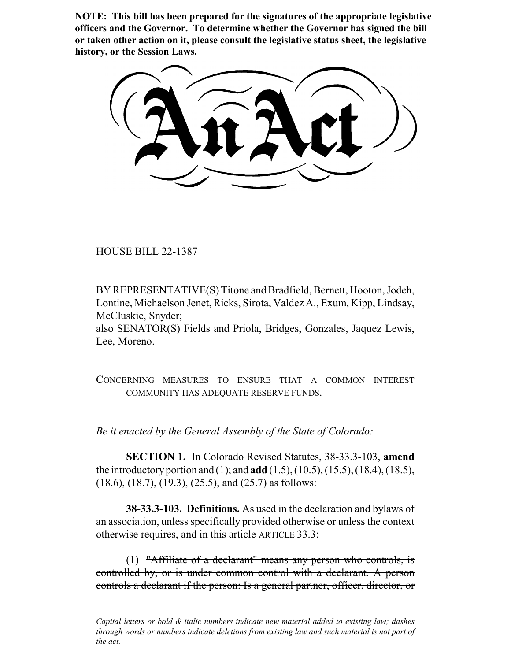**NOTE: This bill has been prepared for the signatures of the appropriate legislative officers and the Governor. To determine whether the Governor has signed the bill or taken other action on it, please consult the legislative status sheet, the legislative history, or the Session Laws.**

HOUSE BILL 22-1387

BY REPRESENTATIVE(S) Titone and Bradfield, Bernett, Hooton, Jodeh, Lontine, Michaelson Jenet, Ricks, Sirota, Valdez A., Exum, Kipp, Lindsay, McCluskie, Snyder;

also SENATOR(S) Fields and Priola, Bridges, Gonzales, Jaquez Lewis, Lee, Moreno.

CONCERNING MEASURES TO ENSURE THAT A COMMON INTEREST COMMUNITY HAS ADEQUATE RESERVE FUNDS.

*Be it enacted by the General Assembly of the State of Colorado:*

**SECTION 1.** In Colorado Revised Statutes, 38-33.3-103, **amend** the introductory portion and (1); and **add** (1.5), (10.5), (15.5), (18.4), (18.5), (18.6), (18.7), (19.3), (25.5), and (25.7) as follows:

**38-33.3-103. Definitions.** As used in the declaration and bylaws of an association, unless specifically provided otherwise or unless the context otherwise requires, and in this article ARTICLE 33.3:

(1) "Affiliate of a declarant" means any person who controls, is controlled by, or is under common control with a declarant. A person controls a declarant if the person: Is a general partner, officer, director, or

*Capital letters or bold & italic numbers indicate new material added to existing law; dashes through words or numbers indicate deletions from existing law and such material is not part of the act.*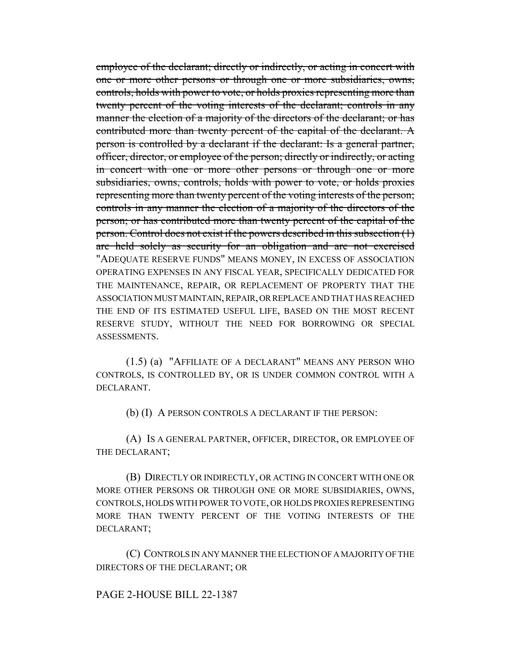employee of the declarant; directly or indirectly, or acting in concert with one or more other persons or through one or more subsidiaries, owns, controls, holds with power to vote, or holds proxies representing more than twenty percent of the voting interests of the declarant; controls in any manner the election of a majority of the directors of the declarant; or has contributed more than twenty percent of the capital of the declarant. A person is controlled by a declarant if the declarant: Is a general partner, officer, director, or employee of the person; directly or indirectly, or acting in concert with one or more other persons or through one or more subsidiaries, owns, controls, holds with power to vote, or holds proxies representing more than twenty percent of the voting interests of the person; controls in any manner the election of a majority of the directors of the person; or has contributed more than twenty percent of the capital of the person. Control does not exist if the powers described in this subsection (1) are held solely as security for an obligation and are not exercised "ADEQUATE RESERVE FUNDS" MEANS MONEY, IN EXCESS OF ASSOCIATION OPERATING EXPENSES IN ANY FISCAL YEAR, SPECIFICALLY DEDICATED FOR THE MAINTENANCE, REPAIR, OR REPLACEMENT OF PROPERTY THAT THE ASSOCIATION MUST MAINTAIN, REPAIR, OR REPLACE AND THAT HAS REACHED THE END OF ITS ESTIMATED USEFUL LIFE, BASED ON THE MOST RECENT RESERVE STUDY, WITHOUT THE NEED FOR BORROWING OR SPECIAL ASSESSMENTS.

(1.5) (a) "AFFILIATE OF A DECLARANT" MEANS ANY PERSON WHO CONTROLS, IS CONTROLLED BY, OR IS UNDER COMMON CONTROL WITH A DECLARANT.

(b) (I) A PERSON CONTROLS A DECLARANT IF THE PERSON:

(A) IS A GENERAL PARTNER, OFFICER, DIRECTOR, OR EMPLOYEE OF THE DECLARANT;

(B) DIRECTLY OR INDIRECTLY, OR ACTING IN CONCERT WITH ONE OR MORE OTHER PERSONS OR THROUGH ONE OR MORE SUBSIDIARIES, OWNS, CONTROLS, HOLDS WITH POWER TO VOTE, OR HOLDS PROXIES REPRESENTING MORE THAN TWENTY PERCENT OF THE VOTING INTERESTS OF THE DECLARANT;

(C) CONTROLS IN ANY MANNER THE ELECTION OF A MAJORITY OF THE DIRECTORS OF THE DECLARANT; OR

## PAGE 2-HOUSE BILL 22-1387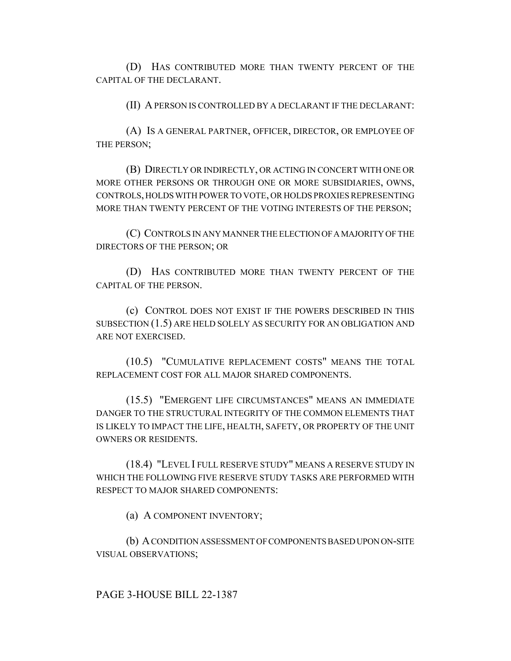(D) HAS CONTRIBUTED MORE THAN TWENTY PERCENT OF THE CAPITAL OF THE DECLARANT.

(II) A PERSON IS CONTROLLED BY A DECLARANT IF THE DECLARANT:

(A) IS A GENERAL PARTNER, OFFICER, DIRECTOR, OR EMPLOYEE OF THE PERSON;

(B) DIRECTLY OR INDIRECTLY, OR ACTING IN CONCERT WITH ONE OR MORE OTHER PERSONS OR THROUGH ONE OR MORE SUBSIDIARIES, OWNS, CONTROLS, HOLDS WITH POWER TO VOTE, OR HOLDS PROXIES REPRESENTING MORE THAN TWENTY PERCENT OF THE VOTING INTERESTS OF THE PERSON;

(C) CONTROLS IN ANY MANNER THE ELECTION OF A MAJORITY OF THE DIRECTORS OF THE PERSON; OR

(D) HAS CONTRIBUTED MORE THAN TWENTY PERCENT OF THE CAPITAL OF THE PERSON.

(c) CONTROL DOES NOT EXIST IF THE POWERS DESCRIBED IN THIS SUBSECTION (1.5) ARE HELD SOLELY AS SECURITY FOR AN OBLIGATION AND ARE NOT EXERCISED.

(10.5) "CUMULATIVE REPLACEMENT COSTS" MEANS THE TOTAL REPLACEMENT COST FOR ALL MAJOR SHARED COMPONENTS.

(15.5) "EMERGENT LIFE CIRCUMSTANCES" MEANS AN IMMEDIATE DANGER TO THE STRUCTURAL INTEGRITY OF THE COMMON ELEMENTS THAT IS LIKELY TO IMPACT THE LIFE, HEALTH, SAFETY, OR PROPERTY OF THE UNIT OWNERS OR RESIDENTS.

(18.4) "LEVEL I FULL RESERVE STUDY" MEANS A RESERVE STUDY IN WHICH THE FOLLOWING FIVE RESERVE STUDY TASKS ARE PERFORMED WITH RESPECT TO MAJOR SHARED COMPONENTS:

(a) A COMPONENT INVENTORY;

(b) A CONDITION ASSESSMENT OF COMPONENTS BASED UPON ON-SITE VISUAL OBSERVATIONS;

PAGE 3-HOUSE BILL 22-1387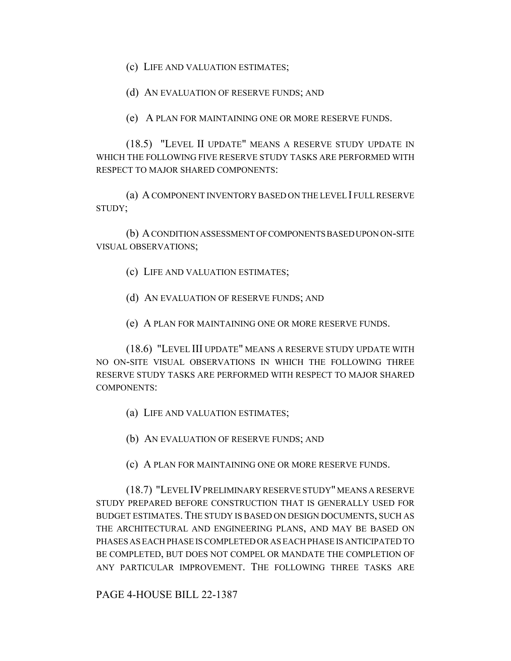(c) LIFE AND VALUATION ESTIMATES;

(d) AN EVALUATION OF RESERVE FUNDS; AND

(e) A PLAN FOR MAINTAINING ONE OR MORE RESERVE FUNDS.

(18.5) "LEVEL II UPDATE" MEANS A RESERVE STUDY UPDATE IN WHICH THE FOLLOWING FIVE RESERVE STUDY TASKS ARE PERFORMED WITH RESPECT TO MAJOR SHARED COMPONENTS:

(a) A COMPONENT INVENTORY BASED ON THE LEVEL I FULL RESERVE STUDY;

(b) A CONDITION ASSESSMENT OF COMPONENTS BASED UPON ON-SITE VISUAL OBSERVATIONS;

- (c) LIFE AND VALUATION ESTIMATES;
- (d) AN EVALUATION OF RESERVE FUNDS; AND
- (e) A PLAN FOR MAINTAINING ONE OR MORE RESERVE FUNDS.

(18.6) "LEVEL III UPDATE" MEANS A RESERVE STUDY UPDATE WITH NO ON-SITE VISUAL OBSERVATIONS IN WHICH THE FOLLOWING THREE RESERVE STUDY TASKS ARE PERFORMED WITH RESPECT TO MAJOR SHARED COMPONENTS:

- (a) LIFE AND VALUATION ESTIMATES;
- (b) AN EVALUATION OF RESERVE FUNDS; AND
- (c) A PLAN FOR MAINTAINING ONE OR MORE RESERVE FUNDS.

(18.7) "LEVEL IV PRELIMINARY RESERVE STUDY" MEANS A RESERVE STUDY PREPARED BEFORE CONSTRUCTION THAT IS GENERALLY USED FOR BUDGET ESTIMATES. THE STUDY IS BASED ON DESIGN DOCUMENTS, SUCH AS THE ARCHITECTURAL AND ENGINEERING PLANS, AND MAY BE BASED ON PHASES AS EACH PHASE IS COMPLETED OR AS EACH PHASE IS ANTICIPATED TO BE COMPLETED, BUT DOES NOT COMPEL OR MANDATE THE COMPLETION OF ANY PARTICULAR IMPROVEMENT. THE FOLLOWING THREE TASKS ARE

PAGE 4-HOUSE BILL 22-1387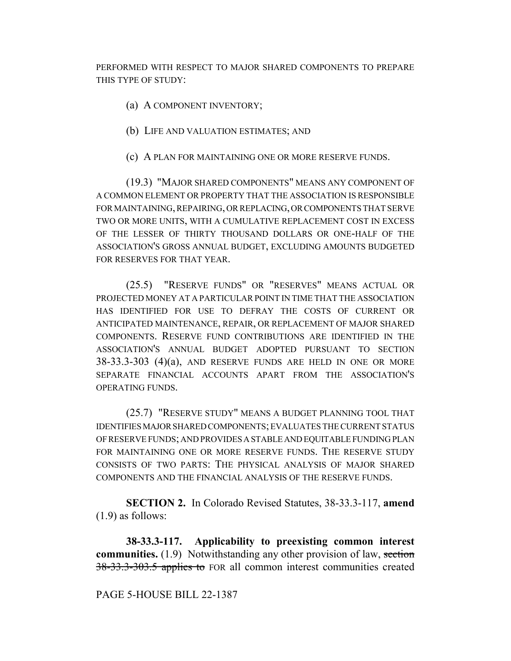PERFORMED WITH RESPECT TO MAJOR SHARED COMPONENTS TO PREPARE THIS TYPE OF STUDY:

- (a) A COMPONENT INVENTORY;
- (b) LIFE AND VALUATION ESTIMATES; AND
- (c) A PLAN FOR MAINTAINING ONE OR MORE RESERVE FUNDS.

(19.3) "MAJOR SHARED COMPONENTS" MEANS ANY COMPONENT OF A COMMON ELEMENT OR PROPERTY THAT THE ASSOCIATION IS RESPONSIBLE FOR MAINTAINING, REPAIRING, OR REPLACING, OR COMPONENTS THAT SERVE TWO OR MORE UNITS, WITH A CUMULATIVE REPLACEMENT COST IN EXCESS OF THE LESSER OF THIRTY THOUSAND DOLLARS OR ONE-HALF OF THE ASSOCIATION'S GROSS ANNUAL BUDGET, EXCLUDING AMOUNTS BUDGETED FOR RESERVES FOR THAT YEAR.

(25.5) "RESERVE FUNDS" OR "RESERVES" MEANS ACTUAL OR PROJECTED MONEY AT A PARTICULAR POINT IN TIME THAT THE ASSOCIATION HAS IDENTIFIED FOR USE TO DEFRAY THE COSTS OF CURRENT OR ANTICIPATED MAINTENANCE, REPAIR, OR REPLACEMENT OF MAJOR SHARED COMPONENTS. RESERVE FUND CONTRIBUTIONS ARE IDENTIFIED IN THE ASSOCIATION'S ANNUAL BUDGET ADOPTED PURSUANT TO SECTION 38-33.3-303 (4)(a), AND RESERVE FUNDS ARE HELD IN ONE OR MORE SEPARATE FINANCIAL ACCOUNTS APART FROM THE ASSOCIATION'S OPERATING FUNDS.

(25.7) "RESERVE STUDY" MEANS A BUDGET PLANNING TOOL THAT IDENTIFIES MAJOR SHARED COMPONENTS; EVALUATES THE CURRENT STATUS OF RESERVE FUNDS; AND PROVIDES A STABLE AND EQUITABLE FUNDING PLAN FOR MAINTAINING ONE OR MORE RESERVE FUNDS. THE RESERVE STUDY CONSISTS OF TWO PARTS: THE PHYSICAL ANALYSIS OF MAJOR SHARED COMPONENTS AND THE FINANCIAL ANALYSIS OF THE RESERVE FUNDS.

**SECTION 2.** In Colorado Revised Statutes, 38-33.3-117, **amend** (1.9) as follows:

**38-33.3-117. Applicability to preexisting common interest communities.** (1.9) Notwithstanding any other provision of law, section 38-33.3-303.5 applies to FOR all common interest communities created

## PAGE 5-HOUSE BILL 22-1387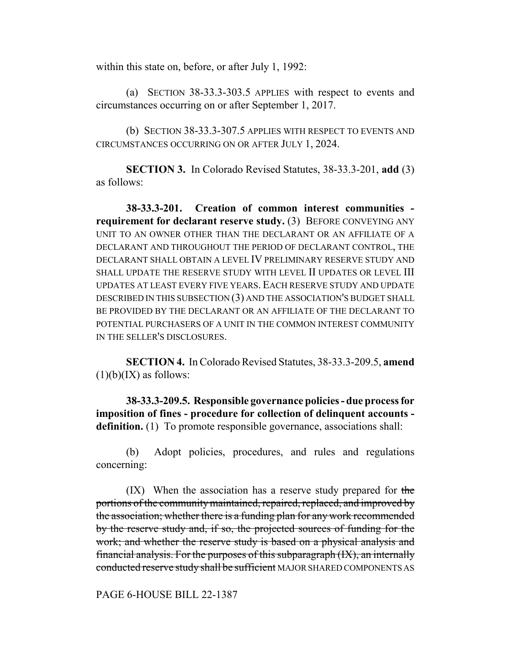within this state on, before, or after July 1, 1992:

(a) SECTION 38-33.3-303.5 APPLIES with respect to events and circumstances occurring on or after September 1, 2017.

(b) SECTION 38-33.3-307.5 APPLIES WITH RESPECT TO EVENTS AND CIRCUMSTANCES OCCURRING ON OR AFTER JULY 1, 2024.

**SECTION 3.** In Colorado Revised Statutes, 38-33.3-201, **add** (3) as follows:

**38-33.3-201. Creation of common interest communities requirement for declarant reserve study. (3) BEFORE CONVEYING ANY** UNIT TO AN OWNER OTHER THAN THE DECLARANT OR AN AFFILIATE OF A DECLARANT AND THROUGHOUT THE PERIOD OF DECLARANT CONTROL, THE DECLARANT SHALL OBTAIN A LEVEL IV PRELIMINARY RESERVE STUDY AND SHALL UPDATE THE RESERVE STUDY WITH LEVEL II UPDATES OR LEVEL III UPDATES AT LEAST EVERY FIVE YEARS. EACH RESERVE STUDY AND UPDATE DESCRIBED IN THIS SUBSECTION (3) AND THE ASSOCIATION'S BUDGET SHALL BE PROVIDED BY THE DECLARANT OR AN AFFILIATE OF THE DECLARANT TO POTENTIAL PURCHASERS OF A UNIT IN THE COMMON INTEREST COMMUNITY IN THE SELLER'S DISCLOSURES.

**SECTION 4.** In Colorado Revised Statutes, 38-33.3-209.5, **amend**  $(1)(b)(IX)$  as follows:

**38-33.3-209.5. Responsible governance policies - due process for imposition of fines - procedure for collection of delinquent accounts definition.** (1) To promote responsible governance, associations shall:

(b) Adopt policies, procedures, and rules and regulations concerning:

 $(IX)$  When the association has a reserve study prepared for the portions of the community maintained, repaired, replaced, and improved by the association; whether there is a funding plan for any work recommended by the reserve study and, if so, the projected sources of funding for the work; and whether the reserve study is based on a physical analysis and financial analysis. For the purposes of this subparagraph (IX), an internally conducted reserve study shall be sufficient MAJOR SHARED COMPONENTS AS

PAGE 6-HOUSE BILL 22-1387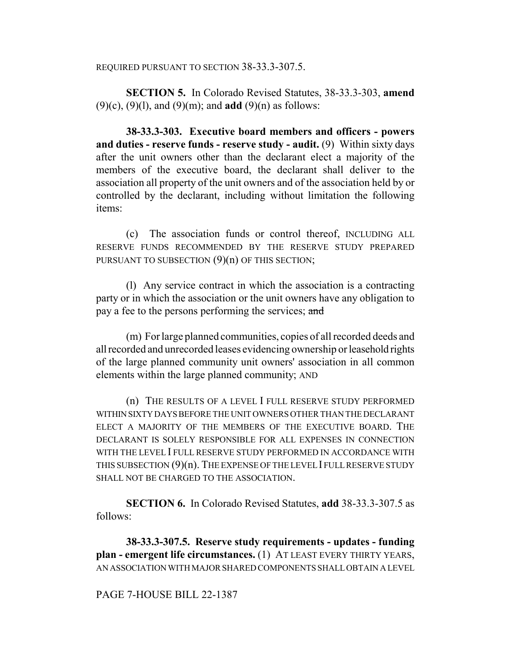## REQUIRED PURSUANT TO SECTION 38-33.3-307.5.

**SECTION 5.** In Colorado Revised Statutes, 38-33.3-303, **amend** (9)(c), (9)(l), and (9)(m); and **add** (9)(n) as follows:

**38-33.3-303. Executive board members and officers - powers and duties - reserve funds - reserve study - audit.** (9) Within sixty days after the unit owners other than the declarant elect a majority of the members of the executive board, the declarant shall deliver to the association all property of the unit owners and of the association held by or controlled by the declarant, including without limitation the following items:

(c) The association funds or control thereof, INCLUDING ALL RESERVE FUNDS RECOMMENDED BY THE RESERVE STUDY PREPARED PURSUANT TO SUBSECTION  $(9)(n)$  OF THIS SECTION;

(l) Any service contract in which the association is a contracting party or in which the association or the unit owners have any obligation to pay a fee to the persons performing the services; and

(m) For large planned communities, copies of all recorded deeds and all recorded and unrecorded leases evidencing ownership or leasehold rights of the large planned community unit owners' association in all common elements within the large planned community; AND

(n) THE RESULTS OF A LEVEL I FULL RESERVE STUDY PERFORMED WITHIN SIXTY DAYS BEFORE THE UNIT OWNERS OTHER THAN THE DECLARANT ELECT A MAJORITY OF THE MEMBERS OF THE EXECUTIVE BOARD. THE DECLARANT IS SOLELY RESPONSIBLE FOR ALL EXPENSES IN CONNECTION WITH THE LEVEL I FULL RESERVE STUDY PERFORMED IN ACCORDANCE WITH THIS SUBSECTION (9)(n). THE EXPENSE OF THE LEVEL I FULL RESERVE STUDY SHALL NOT BE CHARGED TO THE ASSOCIATION.

**SECTION 6.** In Colorado Revised Statutes, **add** 38-33.3-307.5 as follows:

**38-33.3-307.5. Reserve study requirements - updates - funding plan - emergent life circumstances.** (1) AT LEAST EVERY THIRTY YEARS, AN ASSOCIATION WITH MAJOR SHARED COMPONENTS SHALL OBTAIN A LEVEL

## PAGE 7-HOUSE BILL 22-1387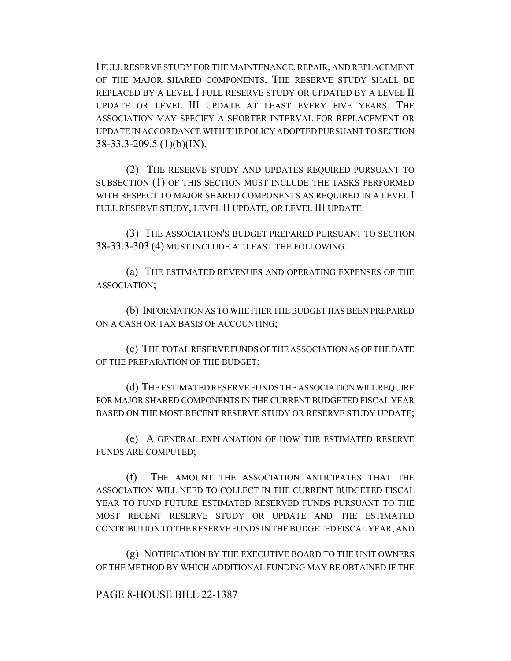I FULL RESERVE STUDY FOR THE MAINTENANCE, REPAIR, AND REPLACEMENT OF THE MAJOR SHARED COMPONENTS. THE RESERVE STUDY SHALL BE REPLACED BY A LEVEL I FULL RESERVE STUDY OR UPDATED BY A LEVEL II UPDATE OR LEVEL III UPDATE AT LEAST EVERY FIVE YEARS. THE ASSOCIATION MAY SPECIFY A SHORTER INTERVAL FOR REPLACEMENT OR UPDATE IN ACCORDANCE WITH THE POLICY ADOPTED PURSUANT TO SECTION 38-33.3-209.5 (1)(b)(IX).

(2) THE RESERVE STUDY AND UPDATES REQUIRED PURSUANT TO SUBSECTION (1) OF THIS SECTION MUST INCLUDE THE TASKS PERFORMED WITH RESPECT TO MAJOR SHARED COMPONENTS AS REQUIRED IN A LEVEL I FULL RESERVE STUDY, LEVEL II UPDATE, OR LEVEL III UPDATE.

(3) THE ASSOCIATION'S BUDGET PREPARED PURSUANT TO SECTION 38-33.3-303 (4) MUST INCLUDE AT LEAST THE FOLLOWING:

(a) THE ESTIMATED REVENUES AND OPERATING EXPENSES OF THE ASSOCIATION;

(b) INFORMATION AS TO WHETHER THE BUDGET HAS BEEN PREPARED ON A CASH OR TAX BASIS OF ACCOUNTING;

(c) THE TOTAL RESERVE FUNDS OF THE ASSOCIATION AS OF THE DATE OF THE PREPARATION OF THE BUDGET;

(d) THE ESTIMATED RESERVE FUNDS THE ASSOCIATION WILL REQUIRE FOR MAJOR SHARED COMPONENTS IN THE CURRENT BUDGETED FISCAL YEAR BASED ON THE MOST RECENT RESERVE STUDY OR RESERVE STUDY UPDATE;

(e) A GENERAL EXPLANATION OF HOW THE ESTIMATED RESERVE FUNDS ARE COMPUTED;

(f) THE AMOUNT THE ASSOCIATION ANTICIPATES THAT THE ASSOCIATION WILL NEED TO COLLECT IN THE CURRENT BUDGETED FISCAL YEAR TO FUND FUTURE ESTIMATED RESERVED FUNDS PURSUANT TO THE MOST RECENT RESERVE STUDY OR UPDATE AND THE ESTIMATED CONTRIBUTION TO THE RESERVE FUNDS IN THE BUDGETED FISCAL YEAR; AND

(g) NOTIFICATION BY THE EXECUTIVE BOARD TO THE UNIT OWNERS OF THE METHOD BY WHICH ADDITIONAL FUNDING MAY BE OBTAINED IF THE

PAGE 8-HOUSE BILL 22-1387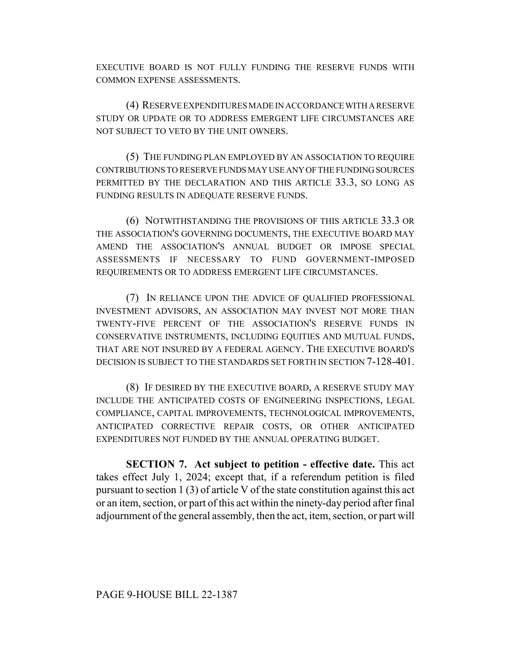EXECUTIVE BOARD IS NOT FULLY FUNDING THE RESERVE FUNDS WITH COMMON EXPENSE ASSESSMENTS.

(4) RESERVE EXPENDITURES MADE IN ACCORDANCE WITH A RESERVE STUDY OR UPDATE OR TO ADDRESS EMERGENT LIFE CIRCUMSTANCES ARE NOT SUBJECT TO VETO BY THE UNIT OWNERS.

(5) THE FUNDING PLAN EMPLOYED BY AN ASSOCIATION TO REQUIRE CONTRIBUTIONS TO RESERVE FUNDS MAY USE ANY OF THE FUNDING SOURCES PERMITTED BY THE DECLARATION AND THIS ARTICLE 33.3, SO LONG AS FUNDING RESULTS IN ADEQUATE RESERVE FUNDS.

(6) NOTWITHSTANDING THE PROVISIONS OF THIS ARTICLE 33.3 OR THE ASSOCIATION'S GOVERNING DOCUMENTS, THE EXECUTIVE BOARD MAY AMEND THE ASSOCIATION'S ANNUAL BUDGET OR IMPOSE SPECIAL ASSESSMENTS IF NECESSARY TO FUND GOVERNMENT-IMPOSED REQUIREMENTS OR TO ADDRESS EMERGENT LIFE CIRCUMSTANCES.

(7) IN RELIANCE UPON THE ADVICE OF QUALIFIED PROFESSIONAL INVESTMENT ADVISORS, AN ASSOCIATION MAY INVEST NOT MORE THAN TWENTY-FIVE PERCENT OF THE ASSOCIATION'S RESERVE FUNDS IN CONSERVATIVE INSTRUMENTS, INCLUDING EQUITIES AND MUTUAL FUNDS, THAT ARE NOT INSURED BY A FEDERAL AGENCY. THE EXECUTIVE BOARD'S DECISION IS SUBJECT TO THE STANDARDS SET FORTH IN SECTION 7-128-401.

(8) IF DESIRED BY THE EXECUTIVE BOARD, A RESERVE STUDY MAY INCLUDE THE ANTICIPATED COSTS OF ENGINEERING INSPECTIONS, LEGAL COMPLIANCE, CAPITAL IMPROVEMENTS, TECHNOLOGICAL IMPROVEMENTS, ANTICIPATED CORRECTIVE REPAIR COSTS, OR OTHER ANTICIPATED EXPENDITURES NOT FUNDED BY THE ANNUAL OPERATING BUDGET.

**SECTION 7. Act subject to petition - effective date.** This act takes effect July 1, 2024; except that, if a referendum petition is filed pursuant to section 1 (3) of article V of the state constitution against this act or an item, section, or part of this act within the ninety-day period after final adjournment of the general assembly, then the act, item, section, or part will